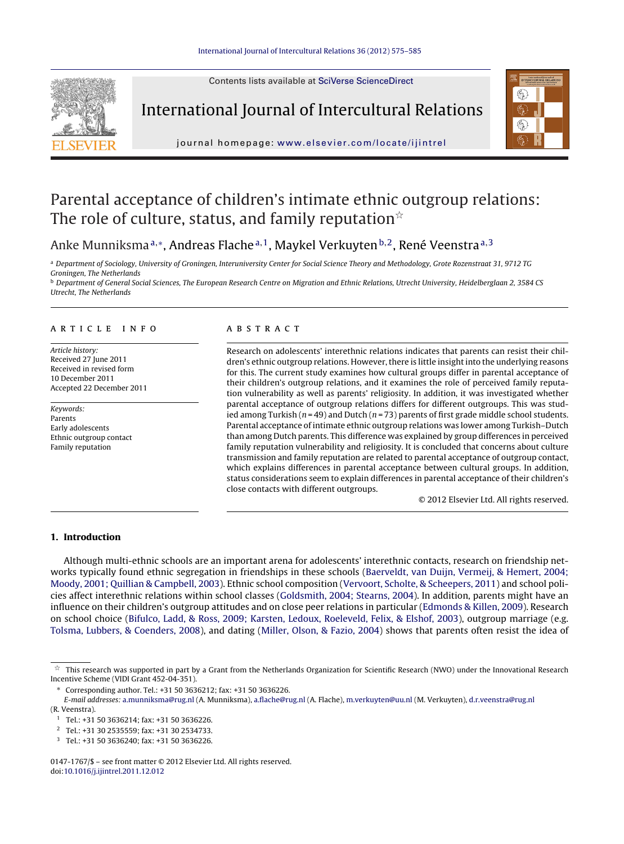Contents lists available at SciVerse [ScienceDirect](http://www.sciencedirect.com/science/journal/01471767)



International Journal of Intercultural Relations



journal hom epage: [www.elsevier.com/locate/ijintrel](http://www.elsevier.com/locate/ijintrel)

# Parental acceptance of children's intimate ethnic outgroup relations: The role of culture, status, and family reputation ${}^{\scriptscriptstyle\mathrm{\mathop{\times}}}$

Anke Munniksma<sup>a,∗</sup>, Andreas Flache<sup>a,1</sup>, Maykel Verkuyten<sup>b,2</sup>, René Veenstra<sup>a,3</sup>

a Department of Sociology, University of Groningen, Interuniversity Center for Social Science Theory and Methodology, Grote Rozenstraat 31, 9712 TG Groningen, The Netherlands

**b** Department of General Social Sciences, The European Research Centre on Migration and Ethnic Relations, Utrecht University, Heidelberglaan 2, 3584 CS Utrecht, The Netherlands

### a r t i c l e i n f o

Article history: Received 27 June 2011 Received in revised form 10 December 2011 Accepted 22 December 2011

Keywords: Parents Early adolescents Ethnic outgroup contact Family reputation

# A B S T R A C T

Research on adolescents' interethnic relations indicates that parents can resist their children's ethnic outgroup relations. However, there is little insight into the underlying reasons for this. The current study examines how cultural groups differ in parental acceptance of their children's outgroup relations, and it examines the role of perceived family reputation vulnerability as well as parents' religiosity. In addition, it was investigated whether parental acceptance of outgroup relations differs for different outgroups. This was studied among Turkish ( $n = 49$ ) and Dutch ( $n = 73$ ) parents of first grade middle school students. Parental acceptance of intimate ethnic outgroup relations was lower among Turkish–Dutch than among Dutch parents. This difference was explained by group differences in perceived family reputation vulnerability and religiosity. It is concluded that concerns about culture transmission and family reputation are related to parental acceptance of outgroup contact, which explains differences in parental acceptance between cultural groups. In addition, status considerations seem to explain differences in parental acceptance of their children's close contacts with different outgroups.

© 2012 Elsevier Ltd. All rights reserved.

# **1. Introduction**

Although multi-ethnic schools are an important arena for adolescents' interethnic contacts, research on friendship networks typically found ethnic segregation in friendships in these schools ([Baerveldt,](#page-9-0) [van](#page-9-0) [Duijn,](#page-9-0) [Vermeij,](#page-9-0) [&](#page-9-0) [Hemert,](#page-9-0) [2004;](#page-9-0) [Moody,](#page-9-0) [2001;](#page-9-0) [Quillian](#page-9-0) [&](#page-9-0) [Campbell,](#page-9-0) [2003\).](#page-9-0) Ethnic school composition [\(Vervoort,](#page-10-0) [Scholte,](#page-10-0) [&](#page-10-0) [Scheepers,](#page-10-0) [2011\)](#page-10-0) and school policies affect interethnic relations within school classes ([Goldsmith,](#page-9-0) [2004;](#page-9-0) [Stearns,](#page-9-0) [2004\).](#page-9-0) In addition, parents might have an influence on their children's outgroup attitudes and on close peer relations in particular [\(Edmonds](#page-9-0) [&](#page-9-0) [Killen,](#page-9-0) [2009\).](#page-9-0) Research on school choice [\(Bifulco,](#page-9-0) [Ladd,](#page-9-0) [&](#page-9-0) [Ross,](#page-9-0) [2009;](#page-9-0) [Karsten,](#page-9-0) [Ledoux,](#page-9-0) [Roeleveld,](#page-9-0) [Felix,](#page-9-0) [&](#page-9-0) [Elshof,](#page-9-0) [2003\),](#page-9-0) outgroup marriage (e.g. [Tolsma,](#page-10-0) [Lubbers,](#page-10-0) [&](#page-10-0) [Coenders,](#page-10-0) [2008\),](#page-10-0) and dating ([Miller,](#page-10-0) [Olson,](#page-10-0) [&](#page-10-0) [Fazio,](#page-10-0) [2004\)](#page-10-0) shows that parents often resist the idea of

∗ Corresponding author. Tel.: +31 50 3636212; fax: +31 50 3636226.

 $\hat{\star}$  This research was supported in part by a Grant from the Netherlands Organization for Scientific Research (NWO) under the Innovational Research Incentive Scheme (VIDI Grant 452-04-351).

E-mail addresses: [a.munniksma@rug.nl](mailto:a.munniksma@rug.nl) (A. Munniksma), [a.flache@rug.nl](mailto:a.flache@rug.nl) (A. Flache), [m.verkuyten@uu.nl](mailto:m.verkuyten@uu.nl) (M. Verkuyten), [d.r.veenstra@rug.nl](mailto:d.r.veenstra@rug.nl) (R. Veenstra).

<sup>1</sup> Tel.: +31 50 3636214; fax: +31 50 3636226.

<sup>2</sup> Tel.: +31 30 2535559; fax: +31 30 2534733.

<sup>3</sup> Tel.: +31 50 3636240; fax: +31 50 3636226.

<sup>0147-1767/\$</sup> – see front matter © 2012 Elsevier Ltd. All rights reserved. doi:[10.1016/j.ijintrel.2011.12.012](dx.doi.org/10.1016/j.ijintrel.2011.12.012)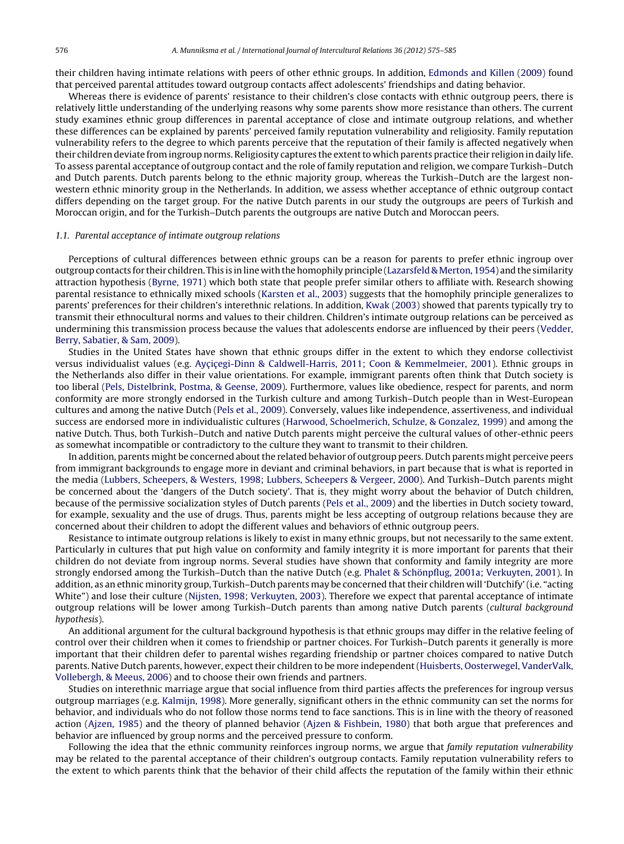their children having intimate relations with peers of other ethnic groups. In addition, [Edmonds](#page-9-0) [and](#page-9-0) [Killen](#page-9-0) [\(2009\)](#page-9-0) found that perceived parental attitudes toward outgroup contacts affect adolescents' friendships and dating behavior.

Whereas there is evidence of parents' resistance to their children's close contacts with ethnic outgroup peers, there is relatively little understanding of the underlying reasons why some parents show more resistance than others. The current study examines ethnic group differences in parental acceptance of close and intimate outgroup relations, and whether these differences can be explained by parents' perceived family reputation vulnerability and religiosity. Family reputation vulnerability refers to the degree to which parents perceive that the reputation of their family is affected negatively when their children deviate from ingroup norms. Religiosity captures the extentto which parents practice their religion in daily life. To assess parental acceptance of outgroup contact and the role of family reputation and religion, we compare Turkish–Dutch and Dutch parents. Dutch parents belong to the ethnic majority group, whereas the Turkish–Dutch are the largest nonwestern ethnic minority group in the Netherlands. In addition, we assess whether acceptance of ethnic outgroup contact differs depending on the target group. For the native Dutch parents in our study the outgroups are peers of Turkish and Moroccan origin, and for the Turkish–Dutch parents the outgroups are native Dutch and Moroccan peers.

# 1.1. Parental acceptance of intimate outgroup relations

Perceptions of cultural differences between ethnic groups can be a reason for parents to prefer ethnic ingroup over outgroup contacts for their children. This is in line with the homophily principle [\(Lazarsfeld](#page-10-0) & Merton, [1954\)](#page-10-0) and the similarity attraction hypothesis [\(Byrne,](#page-9-0) [1971\)](#page-9-0) which both state that people prefer similar others to affiliate with. Research showing parental resistance to ethnically mixed schools ([Karsten](#page-10-0) et [al.,](#page-10-0) [2003\)](#page-10-0) suggests that the homophily principle generalizes to parents' preferences for their children's interethnic relations. In addition, [Kwak](#page-10-0) [\(2003\)](#page-10-0) showed that parents typically try to transmit their ethnocultural norms and values to their children. Children's intimate outgroup relations can be perceived as undermining this transmission process because the values that adolescents endorse are influenced by their peers [\(Vedder,](#page-10-0) [Berry,](#page-10-0) [Sabatier,](#page-10-0) [&](#page-10-0) [Sam,](#page-10-0) [2009\).](#page-10-0)

Studies in the United States have shown that ethnic groups differ in the extent to which they endorse collectivist versus individualist values (e.g. Ayçiç[egi-Dinn](#page-9-0) [&](#page-9-0) [Caldwell-Harris,](#page-9-0) [2011;](#page-9-0) [Coon](#page-9-0) & [Kemmelmeier,](#page-9-0) [2001\).](#page-9-0) Ethnic groups in the Netherlands also differ in their value orientations. For example, immigrant parents often think that Dutch society is too liberal [\(Pels,](#page-10-0) [Distelbrink,](#page-10-0) [Postma,](#page-10-0) [&](#page-10-0) [Geense,](#page-10-0) [2009\).](#page-10-0) Furthermore, values like obedience, respect for parents, and norm conformity are more strongly endorsed in the Turkish culture and among Turkish–Dutch people than in West-European cultures and among the native Dutch ([Pels](#page-10-0) et [al.,](#page-10-0) [2009\).](#page-10-0) Conversely, values like independence, assertiveness, and individual success are endorsed more in individualistic cultures [\(Harwood,](#page-9-0) [Schoelmerich,](#page-9-0) [Schulze,](#page-9-0) [&](#page-9-0) [Gonzalez,](#page-9-0) [1999\)](#page-9-0) and among the native Dutch. Thus, both Turkish–Dutch and native Dutch parents might perceive the cultural values of other-ethnic peers as somewhat incompatible or contradictory to the culture they want to transmit to their children.

In addition, parents might be concerned about the related behavior of outgroup peers. Dutch parents might perceive peers from immigrant backgrounds to engage more in deviant and criminal behaviors, in part because that is what is reported in the media ([Lubbers,](#page-10-0) [Scheepers,](#page-10-0) [&](#page-10-0) [Westers,](#page-10-0) [1998;](#page-10-0) [Lubbers,](#page-10-0) [Scheepers](#page-10-0) [&](#page-10-0) [Vergeer,](#page-10-0) [2000\).](#page-10-0) And Turkish–Dutch parents might be concerned about the 'dangers of the Dutch society'. That is, they might worry about the behavior of Dutch children, because of the permissive socialization styles of Dutch parents [\(Pels](#page-10-0) et [al.,](#page-10-0) [2009\)](#page-10-0) and the liberties in Dutch society toward, for example, sexuality and the use of drugs. Thus, parents might be less accepting of outgroup relations because they are concerned about their children to adopt the different values and behaviors of ethnic outgroup peers.

Resistance to intimate outgroup relations is likely to exist in many ethnic groups, but not necessarily to the same extent. Particularly in cultures that put high value on conformity and family integrity it is more important for parents that their children do not deviate from ingroup norms. Several studies have shown that conformity and family integrity are more strongly endorsed among the Turkish–Dutch than the native Dutch (e.g. [Phalet](#page-10-0) [&](#page-10-0) [Schönpflug,](#page-10-0) [2001a;](#page-10-0) [Verkuyten,](#page-10-0) [2001\).](#page-10-0) In addition, as an ethnic minority group, Turkish-Dutch parents may be concerned that their children will 'Dutchify' (i.e. "acting White") and lose their culture [\(Nijsten,](#page-10-0) [1998;](#page-10-0) [Verkuyten,](#page-10-0) [2003\).](#page-10-0) Therefore we expect that parental acceptance of intimate outgroup relations will be lower among Turkish–Dutch parents than among native Dutch parents (cultural background hypothesis).

An additional argument for the cultural background hypothesis is that ethnic groups may differ in the relative feeling of control over their children when it comes to friendship or partner choices. For Turkish–Dutch parents it generally is more important that their children defer to parental wishes regarding friendship or partner choices compared to native Dutch parents. Native Dutch parents, however, expect their children to be more independent [\(Huisberts,](#page-9-0) [Oosterwegel,](#page-9-0) [VanderValk,](#page-9-0) [Vollebergh,](#page-9-0) [&](#page-9-0) [Meeus,](#page-9-0) [2006\)](#page-9-0) and to choose their own friends and partners.

Studies on interethnic marriage argue that social influence from third parties affects the preferences for ingroup versus outgroup marriages (e.g. [Kalmijn,](#page-9-0) [1998\).](#page-9-0) More generally, significant others in the ethnic community can set the norms for behavior, and individuals who do not follow those norms tend to face sanctions. This is in line with the theory of reasoned action ([Ajzen,](#page-9-0) [1985\)](#page-9-0) and the theory of planned behavior ([Ajzen](#page-9-0) [&](#page-9-0) [Fishbein,](#page-9-0) [1980\)](#page-9-0) that both argue that preferences and behavior are influenced by group norms and the perceived pressure to conform.

Following the idea that the ethnic community reinforces ingroup norms, we argue that family reputation vulnerability may be related to the parental acceptance of their children's outgroup contacts. Family reputation vulnerability refers to the extent to which parents think that the behavior of their child affects the reputation of the family within their ethnic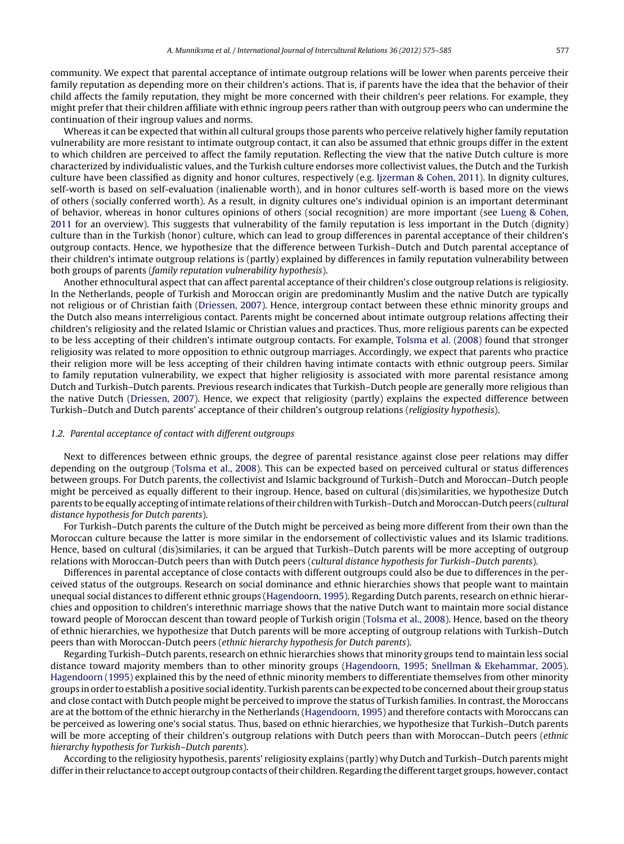community. We expect that parental acceptance of intimate outgroup relations will be lower when parents perceive their family reputation as depending more on their children's actions. That is, if parents have the idea that the behavior of their child affects the family reputation, they might be more concerned with their children's peer relations. For example, they might prefer that their children affiliate with ethnic ingroup peers rather than with outgroup peers who can undermine the continuation of their ingroup values and norms.

Whereas it can be expected that within all cultural groups those parents who perceive relatively higher family reputation vulnerability are more resistant to intimate outgroup contact, it can also be assumed that ethnic groups differ in the extent to which children are perceived to affect the family reputation. Reflecting the view that the native Dutch culture is more characterized by individualistic values, and the Turkish culture endorses more collectivist values, the Dutch and the Turkish culture have been classified as dignity and honor cultures, respectively (e.g. [Ijzerman](#page-9-0) [&](#page-9-0) [Cohen,](#page-9-0) [2011\).](#page-9-0) In dignity cultures, self-worth is based on self-evaluation (inalienable worth), and in honor cultures self-worth is based more on the views of others (socially conferred worth). As a result, in dignity cultures one's individual opinion is an important determinant of behavior, whereas in honor cultures opinions of others (social recognition) are more important (see [Lueng](#page-10-0) [&](#page-10-0) [Cohen,](#page-10-0) [2011](#page-10-0) for an overview). This suggests that vulnerability of the family reputation is less important in the Dutch (dignity) culture than in the Turkish (honor) culture, which can lead to group differences in parental acceptance of their children's outgroup contacts. Hence, we hypothesize that the difference between Turkish–Dutch and Dutch parental acceptance of their children's intimate outgroup relations is (partly) explained by differences in family reputation vulnerability between both groups of parents (family reputation vulnerability hypothesis).

Another ethnocultural aspect that can affect parental acceptance of their children's close outgroup relations is religiosity. In the Netherlands, people of Turkish and Moroccan origin are predominantly Muslim and the native Dutch are typically not religious or of Christian faith [\(Driessen,](#page-9-0) [2007\).](#page-9-0) Hence, intergroup contact between these ethnic minority groups and the Dutch also means interreligious contact. Parents might be concerned about intimate outgroup relations affecting their children's religiosity and the related Islamic or Christian values and practices. Thus, more religious parents can be expected to be less accepting of their children's intimate outgroup contacts. For example, [Tolsma](#page-10-0) et [al.](#page-10-0) [\(2008\)](#page-10-0) found that stronger religiosity was related to more opposition to ethnic outgroup marriages. Accordingly, we expect that parents who practice their religion more will be less accepting of their children having intimate contacts with ethnic outgroup peers. Similar to family reputation vulnerability, we expect that higher religiosity is associated with more parental resistance among Dutch and Turkish–Dutch parents. Previous research indicates that Turkish–Dutch people are generally more religious than the native Dutch [\(Driessen,](#page-9-0) [2007\).](#page-9-0) Hence, we expect that religiosity (partly) explains the expected difference between Turkish–Dutch and Dutch parents' acceptance of their children's outgroup relations (religiosity hypothesis).

# 1.2. Parental acceptance of contact with different outgroups

Next to differences between ethnic groups, the degree of parental resistance against close peer relations may differ depending on the outgroup [\(Tolsma](#page-10-0) et [al.,](#page-10-0) [2008\).](#page-10-0) This can be expected based on perceived cultural or status differences between groups. For Dutch parents, the collectivist and Islamic background of Turkish–Dutch and Moroccan–Dutch people might be perceived as equally different to their ingroup. Hence, based on cultural (dis)similarities, we hypothesize Dutch parents to be equally accepting of intimate relations of their children with Turkish–Dutch and Moroccan-Dutch peers (cultural distance hypothesis for Dutch parents).

For Turkish–Dutch parents the culture of the Dutch might be perceived as being more different from their own than the Moroccan culture because the latter is more similar in the endorsement of collectivistic values and its Islamic traditions. Hence, based on cultural (dis)similaries, it can be argued that Turkish–Dutch parents will be more accepting of outgroup relations with Moroccan-Dutch peers than with Dutch peers (cultural distance hypothesis for Turkish–Dutch parents).

Differences in parental acceptance of close contacts with different outgroups could also be due to differences in the perceived status of the outgroups. Research on social dominance and ethnic hierarchies shows that people want to maintain unequal social distances to different ethnic groups [\(Hagendoorn,](#page-9-0) [1995\).](#page-9-0) Regarding Dutch parents, research on ethnic hierarchies and opposition to children's interethnic marriage shows that the native Dutch want to maintain more social distance toward people of Moroccan descent than toward people of Turkish origin [\(Tolsma](#page-10-0) et [al.,](#page-10-0) [2008\).](#page-10-0) Hence, based on the theory of ethnic hierarchies, we hypothesize that Dutch parents will be more accepting of outgroup relations with Turkish–Dutch peers than with Moroccan-Dutch peers (ethnic hierarchy hypothesis for Dutch parents).

Regarding Turkish–Dutch parents, research on ethnic hierarchies shows that minority groups tend to maintain less social distance toward majority members than to other minority groups [\(Hagendoorn,](#page-9-0) [1995;](#page-9-0) [Snellman](#page-9-0) [&](#page-9-0) [Ekehammar,](#page-9-0) [2005\).](#page-9-0) [Hagendoorn](#page-9-0) [\(1995\)](#page-9-0) explained this by the need of ethnic minority members to differentiate themselves from other minority groups in order to establish a positive social identity. Turkish parents can be expected to be concerned about their group status and close contact with Dutch people might be perceived to improve the status of Turkish families. In contrast, the Moroccans are at the bottom of the ethnic hierarchy in the Netherlands ([Hagendoorn,](#page-9-0) [1995\)](#page-9-0) and therefore contacts with Moroccans can be perceived as lowering one's social status. Thus, based on ethnic hierarchies, we hypothesize that Turkish–Dutch parents will be more accepting of their children's outgroup relations with Dutch peers than with Moroccan–Dutch peers (ethnic hierarchy hypothesis for Turkish–Dutch parents).

According to the religiosity hypothesis, parents' religiosity explains (partly) why Dutch and Turkish–Dutch parents might differ in their reluctance to accept outgroup contacts oftheir children. Regarding the differenttarget groups, however, contact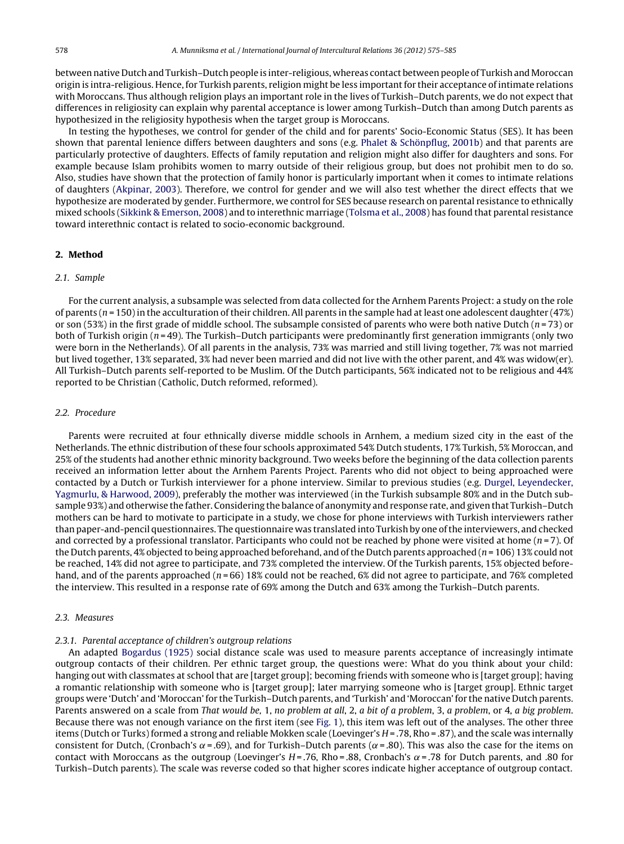between native Dutch and Turkish–Dutch people is inter-religious, whereas contact between people of Turkish and Moroccan origin is intra-religious. Hence, for Turkish parents, religion might be less importantfor their acceptance of intimate relations with Moroccans. Thus although religion plays an important role in the lives of Turkish–Dutch parents, we do not expect that differences in religiosity can explain why parental acceptance is lower among Turkish–Dutch than among Dutch parents as hypothesized in the religiosity hypothesis when the target group is Moroccans.

In testing the hypotheses, we control for gender of the child and for parents' Socio-Economic Status (SES). It has been shown that parental lenience differs between daughters and sons (e.g. [Phalet](#page-10-0) [&](#page-10-0) [Schönpflug,](#page-10-0) [2001b\)](#page-10-0) and that parents are particularly protective of daughters. Effects of family reputation and religion might also differ for daughters and sons. For example because Islam prohibits women to marry outside of their religious group, but does not prohibit men to do so. Also, studies have shown that the protection of family honor is particularly important when it comes to intimate relations of daughters [\(Akpinar,](#page-9-0) [2003\).](#page-9-0) Therefore, we control for gender and we will also test whether the direct effects that we hypothesize are moderated by gender. Furthermore, we control for SES because research on parental resistance to ethnically mixed schools ([Sikkink](#page-10-0) [&](#page-10-0) [Emerson,](#page-10-0) [2008\)](#page-10-0) and to interethnic marriage ([Tolsma](#page-10-0) et [al.,](#page-10-0) [2008\)](#page-10-0) has found that parental resistance toward interethnic contact is related to socio-economic background.

# **2. Method**

# 2.1. Sample

For the current analysis, a subsample was selected from data collected for the Arnhem Parents Project: a study on the role of parents ( $n = 150$ ) in the acculturation of their children. All parents in the sample had at least one adolescent daughter (47%) or son (53%) in the first grade of middle school. The subsample consisted of parents who were both native Dutch  $(n=73)$  or both of Turkish origin ( $n = 49$ ). The Turkish–Dutch participants were predominantly first generation immigrants (only two were born in the Netherlands). Of all parents in the analysis, 73% was married and still living together, 7% was not married but lived together, 13% separated, 3% had never been married and did not live with the other parent, and 4% was widow(er). All Turkish–Dutch parents self-reported to be Muslim. Of the Dutch participants, 56% indicated not to be religious and 44% reported to be Christian (Catholic, Dutch reformed, reformed).

# 2.2. Procedure

Parents were recruited at four ethnically diverse middle schools in Arnhem, a medium sized city in the east of the Netherlands. The ethnic distribution of these four schools approximated 54% Dutch students, 17% Turkish, 5% Moroccan, and 25% of the students had another ethnic minority background. Two weeks before the beginning of the data collection parents received an information letter about the Arnhem Parents Project. Parents who did not object to being approached were contacted by a Dutch or Turkish interviewer for a phone interview. Similar to previous studies (e.g. [Durgel,](#page-9-0) [Leyendecker,](#page-9-0) [Yagmurlu,](#page-9-0) [&](#page-9-0) [Harwood,](#page-9-0) [2009\),](#page-9-0) preferably the mother was interviewed (in the Turkish subsample 80% and in the Dutch subsample 93%) and otherwise the father. Considering the balance of anonymity and response rate, and given that Turkish–Dutch mothers can be hard to motivate to participate in a study, we chose for phone interviews with Turkish interviewers rather than paper-and-pencil questionnaires. The questionnaire was translated into Turkish by one ofthe interviewers, and checked and corrected by a professional translator. Participants who could not be reached by phone were visited at home  $(n = 7)$ . Of the Dutch parents, 4% objected to being approached beforehand, and of the Dutch parents approached ( $n = 106$ ) 13% could not be reached, 14% did not agree to participate, and 73% completed the interview. Of the Turkish parents, 15% objected beforehand, and of the parents approached ( $n = 66$ ) 18% could not be reached, 6% did not agree to participate, and 76% completed the interview. This resulted in a response rate of 69% among the Dutch and 63% among the Turkish–Dutch parents.

## 2.3. Measures

# 2.3.1. Parental acceptance of children's outgroup relations

An adapted [Bogardus](#page-9-0) [\(1925\)](#page-9-0) social distance scale was used to measure parents acceptance of increasingly intimate outgroup contacts of their children. Per ethnic target group, the questions were: What do you think about your child: hanging out with classmates at school that are [target group]; becoming friends with someone who is [target group]; having a romantic relationship with someone who is [target group]; later marrying someone who is [target group]. Ethnic target groups were 'Dutch' and 'Moroccan' for the Turkish–Dutch parents, and 'Turkish' and 'Moroccan' for the native Dutch parents. Parents answered on a scale from That would be, 1, no problem at all, 2, a bit of a problem, 3, a problem, or 4, a big problem. Because there was not enough variance on the first item (see [Fig.](#page-4-0) 1), this item was left out of the analyses. The other three items (Dutch or Turks) formed a strong and reliable Mokken scale (Loevinger's  $H = .78$ , Rho = .87), and the scale was internally consistent for Dutch, (Cronbach's  $\alpha$  = .69), and for Turkish–Dutch parents ( $\alpha$  = .80). This was also the case for the items on contact with Moroccans as the outgroup (Loevinger's  $H = .76$ , Rho = .88, Cronbach's  $\alpha = .78$  for Dutch parents, and .80 for Turkish–Dutch parents). The scale was reverse coded so that higher scores indicate higher acceptance of outgroup contact.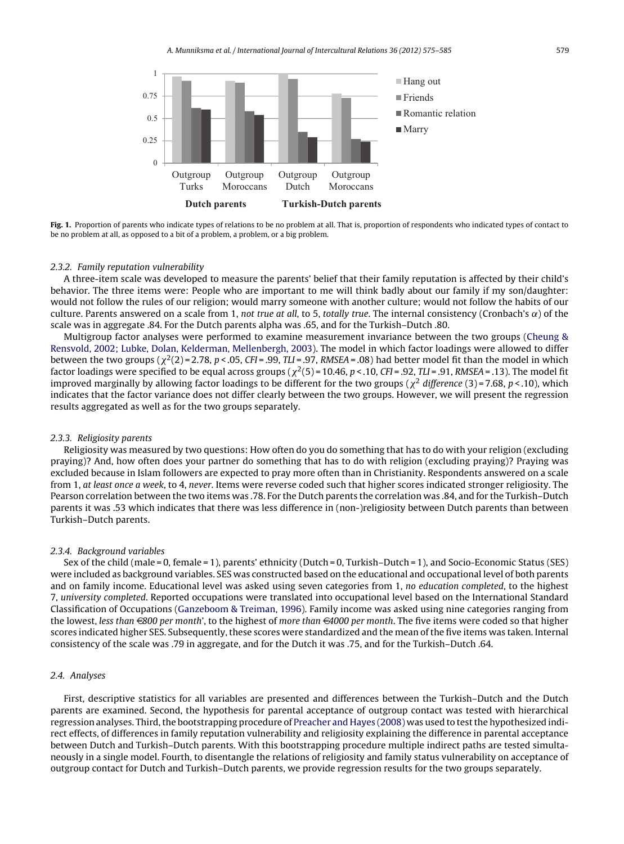<span id="page-4-0"></span>

**Fig. 1.** Proportion of parents who indicate types of relations to be no problem at all. That is, proportion of respondents who indicated types of contact to be no problem at all, as opposed to a bit of a problem, a problem, or a big problem.

# 2.3.2. Family reputation vulnerability

A three-item scale was developed to measure the parents' belief that their family reputation is affected by their child's behavior. The three items were: People who are important to me will think badly about our family if my son/daughter: would not follow the rules of our religion; would marry someone with another culture; would not follow the habits of our culture. Parents answered on a scale from 1, not true at all, to 5, totally true. The internal consistency (Cronbach's  $\alpha$ ) of the scale was in aggregate .84. For the Dutch parents alpha was .65, and for the Turkish–Dutch .80.

Multigroup factor analyses were performed to examine measurement invariance between the two groups ([Cheung](#page-9-0) [&](#page-9-0) [Rensvold,](#page-9-0) [2002;](#page-9-0) [Lubke,](#page-9-0) [Dolan,](#page-9-0) [Kelderman,](#page-9-0) [Mellenbergh,](#page-9-0) [2003\).](#page-9-0) The model in which factor loadings were allowed to differ between the two groups ( $\chi^2(2)$  = 2.78, p < .05, CFI = .99, TLI = .97, RMSEA = .08) had better model fit than the model in which factor loadings were specified to be equal across groups ( $\chi^2(5)$  = 10.46, p < .10, CFI = .92, TLI = .91, RMSEA = .13). The model fit improved marginally by allowing factor loadings to be different for the two groups ( $\chi^2$  difference (3)=7.68, p<.10), which indicates that the factor variance does not differ clearly between the two groups. However, we will present the regression results aggregated as well as for the two groups separately.

# 2.3.3. Religiosity parents

Religiosity was measured by two questions: How often do you do something that has to do with your religion (excluding praying)? And, how often does your partner do something that has to do with religion (excluding praying)? Praying was excluded because in Islam followers are expected to pray more often than in Christianity. Respondents answered on a scale from 1, at least once a week, to 4, never. Items were reverse coded such that higher scores indicated stronger religiosity. The Pearson correlation between the two items was .78. For the Dutch parents the correlation was .84, and for the Turkish–Dutch parents it was .53 which indicates that there was less difference in (non-)religiosity between Dutch parents than between Turkish–Dutch parents.

### 2.3.4. Background variables

Sex of the child (male = 0, female = 1), parents' ethnicity (Dutch = 0, Turkish–Dutch = 1), and Socio-Economic Status (SES) were included as background variables. SES was constructed based on the educational and occupational level of both parents and on family income. Educational level was asked using seven categories from 1, no education completed, to the highest 7, university completed. Reported occupations were translated into occupational level based on the International Standard Classification of Occupations ([Ganzeboom](#page-9-0) [&](#page-9-0) [Treiman,](#page-9-0) [1996\).](#page-9-0) Family income was asked using nine categories ranging from the lowest, less than  $\in 800$  per month', to the highest of more than  $\in 4000$  per month. The five items were coded so that higher scores indicated higher SES. Subsequently, these scores were standardized and the mean of the five items was taken. Internal consistency of the scale was .79 in aggregate, and for the Dutch it was .75, and for the Turkish–Dutch .64.

# 2.4. Analyses

First, descriptive statistics for all variables are presented and differences between the Turkish–Dutch and the Dutch parents are examined. Second, the hypothesis for parental acceptance of outgroup contact was tested with hierarchical regression analyses. Third, the bootstrapping procedure of [Preacher](#page-10-0) [and](#page-10-0) [Hayes](#page-10-0) [\(2008\)](#page-10-0) was used to test the hypothesized indirect effects, of differences in family reputation vulnerability and religiosity explaining the difference in parental acceptance between Dutch and Turkish–Dutch parents. With this bootstrapping procedure multiple indirect paths are tested simultaneously in a single model. Fourth, to disentangle the relations of religiosity and family status vulnerability on acceptance of outgroup contact for Dutch and Turkish–Dutch parents, we provide regression results for the two groups separately.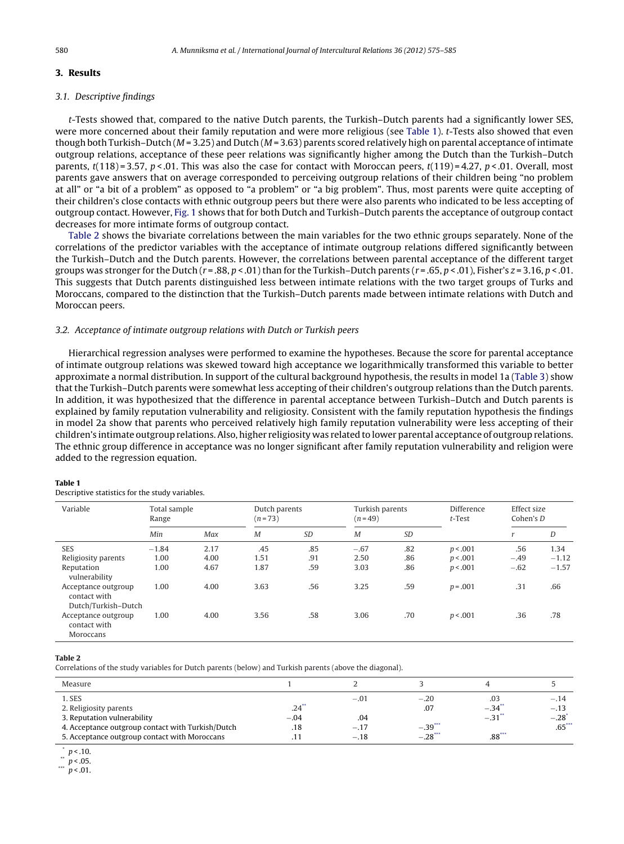# **3. Results**

# 3.1. Descriptive findings

t-Tests showed that, compared to the native Dutch parents, the Turkish–Dutch parents had a significantly lower SES, were more concerned about their family reputation and were more religious (see Table 1). t-Tests also showed that even though both Turkish–Dutch ( $M = 3.25$ ) and Dutch ( $M = 3.63$ ) parents scored relatively high on parental acceptance of intimate outgroup relations, acceptance of these peer relations was significantly higher among the Dutch than the Turkish–Dutch parents,  $t(118) = 3.57$ ,  $p < 0.01$ . This was also the case for contact with Moroccan peers,  $t(119) = 4.27$ ,  $p < 0.01$ . Overall, most parents gave answers that on average corresponded to perceiving outgroup relations of their children being "no problem at all" or "a bit of a problem" as opposed to "a problem" or "a big problem". Thus, most parents were quite accepting of their children's close contacts with ethnic outgroup peers but there were also parents who indicated to be less accepting of outgroup contact. However, [Fig.](#page-4-0) 1 shows that for both Dutch and Turkish–Dutch parents the acceptance of outgroup contact decreases for more intimate forms of outgroup contact.

Table 2 shows the bivariate correlations between the main variables for the two ethnic groups separately. None of the correlations of the predictor variables with the acceptance of intimate outgroup relations differed significantly between the Turkish–Dutch and the Dutch parents. However, the correlations between parental acceptance of the different target groups was stronger for the Dutch  $(r = .88, p < .01)$  than for the Turkish–Dutch parents  $(r = .65, p < .01)$ , Fisher's  $z = 3.16, p < .01$ . This suggests that Dutch parents distinguished less between intimate relations with the two target groups of Turks and Moroccans, compared to the distinction that the Turkish–Dutch parents made between intimate relations with Dutch and Moroccan peers.

# 3.2. Acceptance of intimate outgroup relations with Dutch or Turkish peers

Hierarchical regression analyses were performed to examine the hypotheses. Because the score for parental acceptance of intimate outgroup relations was skewed toward high acceptance we logarithmically transformed this variable to better approximate a normal distribution. In support of the cultural background hypothesis, the results in model 1a [\(Table](#page-6-0) 3) show that the Turkish–Dutch parents were somewhat less accepting of their children's outgroup relations than the Dutch parents. In addition, it was hypothesized that the difference in parental acceptance between Turkish–Dutch and Dutch parents is explained by family reputation vulnerability and religiosity. Consistent with the family reputation hypothesis the findings in model 2a show that parents who perceived relatively high family reputation vulnerability were less accepting of their children's intimate outgroup relations.Also, higher religiosity was related to lower parental acceptance of outgroup relations. The ethnic group difference in acceptance was no longer significant after family reputation vulnerability and religion were added to the regression equation.

#### **Table 1**

Descriptive statistics for the study variables.

| Variable                                                   | Total sample<br>Range |      | $(n=73)$         | Dutch parents |        | Turkish parents<br>$(n=49)$ |            | Effect size<br>Cohen's D |         |
|------------------------------------------------------------|-----------------------|------|------------------|---------------|--------|-----------------------------|------------|--------------------------|---------|
|                                                            | Min                   | Max  | $\boldsymbol{M}$ | <b>SD</b>     | M      | <b>SD</b>                   |            | r                        | D       |
| <b>SES</b>                                                 | $-1.84$               | 2.17 | .45              | .85           | $-.67$ | .82                         | p < .001   | .56                      | 1.34    |
| Religiosity parents                                        | 1.00                  | 4.00 | 1.51             | .91           | 2.50   | .86                         | p < .001   | $-.49$                   | $-1.12$ |
| Reputation<br>vulnerability                                | 1.00                  | 4.67 | 1.87             | .59           | 3.03   | .86                         | p < .001   | $-.62$                   | $-1.57$ |
| Acceptance outgroup<br>contact with<br>Dutch/Turkish-Dutch | 1.00                  | 4.00 | 3.63             | .56           | 3.25   | .59                         | $p = .001$ | .31                      | .66     |
| Acceptance outgroup<br>contact with<br>Moroccans           | 1.00                  | 4.00 | 3.56             | .58           | 3.06   | .70                         | p < .001   | .36                      | .78     |

#### **Table 2**

Correlations of the study variables for Dutch parents (below) and Turkish parents (above the diagonal).

| Measure                                           |        |        |           |                      |          |
|---------------------------------------------------|--------|--------|-----------|----------------------|----------|
| 1. SES                                            |        | $-.01$ | $-.20$    | .03                  | $-.14$   |
| 2. Religiosity parents                            | .24    |        | .07       | $-.34$ <sup>**</sup> | $-.13$   |
| 3. Reputation vulnerability                       | $-.04$ | .04    |           | $-31$                | $-.28^*$ |
| 4. Acceptance outgroup contact with Turkish/Dutch | .18    | $-.17$ | $-.39***$ |                      | $.65***$ |
| 5. Acceptance outgroup contact with Moroccans     |        | $-.18$ | $-.28$    | $.88***$             |          |
|                                                   |        |        |           |                      |          |

 $*$   $p < .10$ .

 $\degree$  p < .05. \*\*\*  $p < .01$ .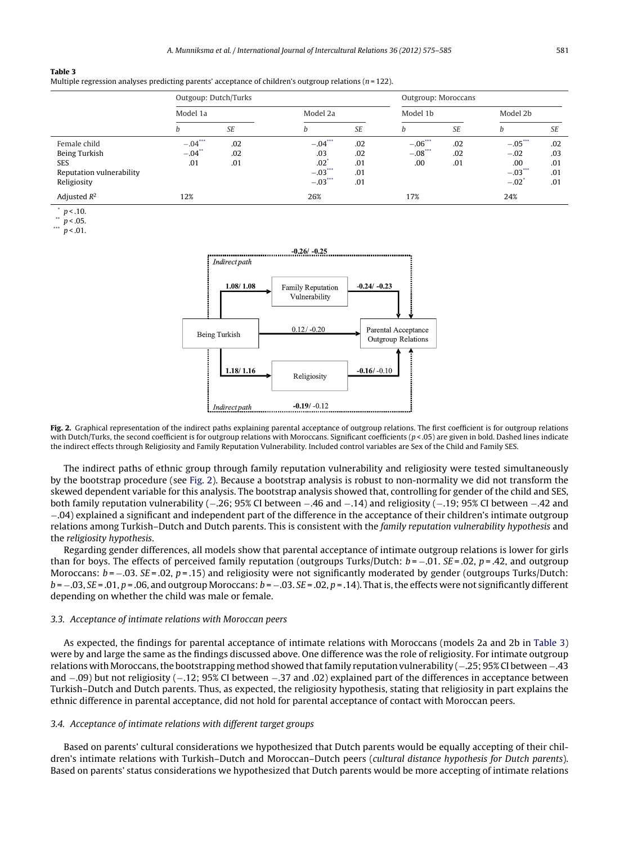#### <span id="page-6-0"></span>**Table 3**

Multiple regression analyses predicting parents' acceptance of children's outgroup relations ( $n = 122$ ).

|                          | Outgoup: Dutch/Turks |           |           |           | Outgroup: Moroccans |           |           |     |
|--------------------------|----------------------|-----------|-----------|-----------|---------------------|-----------|-----------|-----|
|                          | Model 1a             |           | Model 2a  |           | Model 1b            |           | Model 2b  |     |
|                          | b                    | <b>SE</b> | b         | <b>SE</b> | h                   | <b>SE</b> | b         | SE  |
| Female child             | $-.04***$            | .02       | $-.04***$ | .02       | $-.06***$           | .02       | $-.05***$ | .02 |
| Being Turkish            | $-.04"$              | .02       | .03       | .02       | $-.08***$           | .02       | $-.02$    | .03 |
| <b>SES</b>               | .01                  | .01       | $.02^*$   | .01       | .00                 | .01       | .00.      | .01 |
| Reputation vulnerability |                      |           | $-.03***$ | .01       |                     |           | $-.03***$ | .01 |
| Religiosity              |                      |           | $-.03***$ | .01       |                     |           | $-.02$    | .01 |
| Adjusted $R^2$           | 12%                  |           | 26%       |           | 17%                 |           | 24%       |     |

 $p < 10.$ 

 $p < .05$ .

 $p < .01$ .

 $-0.26/ -0.25$ **Indirect path**  $1.08/1.08$ Family Reputation  $-0.24/-0.23$ Vulnerability  $0.127 - 0.20$ Parental Accentance **Being Turkish** Outgroup Relations  $1.18/1.16$  $-0.16/-0.10$ Religiosity  $-0.19/-0.12$ Indirect path

**Fig. 2.** Graphical representation of the indirect paths explaining parental acceptance of outgroup relations. The first coefficient is for outgroup relations with Dutch/Turks, the second coefficient is for outgroup relations with Moroccans. Significant coefficients ( $p$  < .05) are given in bold. Dashed lines indicate the indirect effects through Religiosity and Family Reputation Vulnerability. Included control variables are Sex of the Child and Family SES.

The indirect paths of ethnic group through family reputation vulnerability and religiosity were tested simultaneously by the bootstrap procedure (see Fig. 2). Because a bootstrap analysis is robust to non-normality we did not transform the skewed dependent variable for this analysis. The bootstrap analysis showed that, controlling for gender of the child and SES, both family reputation vulnerability (−.26; 95% CI between −.46 and −.14) and religiosity (−.19; 95% CI between −.42 and −.04) explained a significant and independent part of the difference in the acceptance of their children's intimate outgroup relations among Turkish–Dutch and Dutch parents. This is consistent with the family reputation vulnerability hypothesis and the religiosity hypothesis.

Regarding gender differences, all models show that parental acceptance of intimate outgroup relations is lower for girls than for boys. The effects of perceived family reputation (outgroups Turks/Dutch:  $b = -0.01$ . SE = .02, p = .42, and outgroup Moroccans:  $b = -.03$ .  $SE = .02$ ,  $p = .15$ ) and religiosity were not significantly moderated by gender (outgroups Turks/Dutch:  $b = -0.03$ ,  $SE = 0.01$ ,  $p = 0.06$ , and outgroup Moroccans:  $b = -0.03$ .  $SE = 0.02$ ,  $p = 0.14$ ). That is, the effects were not significantly different depending on whether the child was male or female.

# 3.3. Acceptance of intimate relations with Moroccan peers

As expected, the findings for parental acceptance of intimate relations with Moroccans (models 2a and 2b in Table 3) were by and large the same as the findings discussed above. One difference was the role of religiosity. For intimate outgroup relations with Moroccans,the bootstrapping method showed thatfamily reputation vulnerability (−.25; 95% CI between −.43 and −.09) but not religiosity (−.12; 95% CI between −.37 and .02) explained part of the differences in acceptance between Turkish–Dutch and Dutch parents. Thus, as expected, the religiosity hypothesis, stating that religiosity in part explains the ethnic difference in parental acceptance, did not hold for parental acceptance of contact with Moroccan peers.

# 3.4. Acceptance of intimate relations with different target groups

Based on parents' cultural considerations we hypothesized that Dutch parents would be equally accepting of their children's intimate relations with Turkish–Dutch and Moroccan–Dutch peers (cultural distance hypothesis for Dutch parents). Based on parents' status considerations we hypothesized that Dutch parents would be more accepting of intimate relations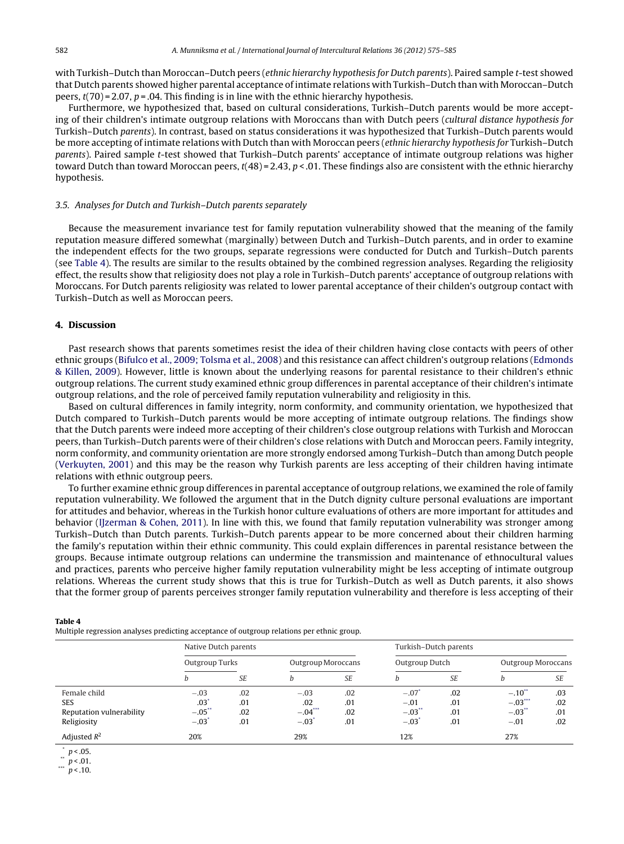with Turkish–Dutch than Moroccan–Dutch peers (ethnic hierarchy hypothesis for Dutch parents). Paired sample t-test showed that Dutch parents showed higher parental acceptance of intimate relations with Turkish–Dutch than with Moroccan–Dutch peers,  $t(70) = 2.07$ ,  $p = .04$ . This finding is in line with the ethnic hierarchy hypothesis.

Furthermore, we hypothesized that, based on cultural considerations, Turkish–Dutch parents would be more accepting of their children's intimate outgroup relations with Moroccans than with Dutch peers (cultural distance hypothesis for Turkish–Dutch parents). In contrast, based on status considerations it was hypothesized that Turkish–Dutch parents would be more accepting of intimate relations with Dutch than with Moroccan peers (ethnic hierarchy hypothesis for Turkish–Dutch parents). Paired sample t-test showed that Turkish–Dutch parents' acceptance of intimate outgroup relations was higher toward Dutch than toward Moroccan peers,  $t(48) = 2.43$ ,  $p < 0.01$ . These findings also are consistent with the ethnic hierarchy hypothesis.

# 3.5. Analyses for Dutch and Turkish–Dutch parents separately

Because the measurement invariance test for family reputation vulnerability showed that the meaning of the family reputation measure differed somewhat (marginally) between Dutch and Turkish–Dutch parents, and in order to examine the independent effects for the two groups, separate regressions were conducted for Dutch and Turkish–Dutch parents (see Table 4). The results are similar to the results obtained by the combined regression analyses. Regarding the religiosity effect, the results show that religiosity does not play a role in Turkish–Dutch parents' acceptance of outgroup relations with Moroccans. For Dutch parents religiosity was related to lower parental acceptance of their childen's outgroup contact with Turkish–Dutch as well as Moroccan peers.

# **4. Discussion**

Past research shows that parents sometimes resist the idea of their children having close contacts with peers of other ethnic groups [\(Bifulco](#page-9-0) et [al.,](#page-9-0) [2009;](#page-9-0) [Tolsma](#page-9-0) et [al.,](#page-9-0) [2008\)](#page-9-0) and this resistance can affect children's outgroup relations ([Edmonds](#page-9-0) [&](#page-9-0) [Killen,](#page-9-0) [2009\).](#page-9-0) However, little is known about the underlying reasons for parental resistance to their children's ethnic outgroup relations. The current study examined ethnic group differences in parental acceptance of their children's intimate outgroup relations, and the role of perceived family reputation vulnerability and religiosity in this.

Based on cultural differences in family integrity, norm conformity, and community orientation, we hypothesized that Dutch compared to Turkish–Dutch parents would be more accepting of intimate outgroup relations. The findings show that the Dutch parents were indeed more accepting of their children's close outgroup relations with Turkish and Moroccan peers, than Turkish–Dutch parents were of their children's close relations with Dutch and Moroccan peers. Family integrity, norm conformity, and community orientation are more strongly endorsed among Turkish–Dutch than among Dutch people [\(Verkuyten,](#page-10-0) [2001\)](#page-10-0) and this may be the reason why Turkish parents are less accepting of their children having intimate relations with ethnic outgroup peers.

To further examine ethnic group differences in parental acceptance of outgroup relations, we examined the role of family reputation vulnerability. We followed the argument that in the Dutch dignity culture personal evaluations are important for attitudes and behavior, whereas in the Turkish honor culture evaluations of others are more important for attitudes and behavior ([IJzerman](#page-9-0) [&](#page-9-0) [Cohen,](#page-9-0) [2011\).](#page-9-0) In line with this, we found that family reputation vulnerability was stronger among Turkish–Dutch than Dutch parents. Turkish–Dutch parents appear to be more concerned about their children harming the family's reputation within their ethnic community. This could explain differences in parental resistance between the groups. Because intimate outgroup relations can undermine the transmission and maintenance of ethnocultural values and practices, parents who perceive higher family reputation vulnerability might be less accepting of intimate outgroup relations. Whereas the current study shows that this is true for Turkish–Dutch as well as Dutch parents, it also shows that the former group of parents perceives stronger family reputation vulnerability and therefore is less accepting of their

#### **Table 4**

Multiple regression analyses predicting acceptance of outgroup relations per ethnic group.

|                          |                     | Native Dutch parents |                    |           |                      | Turkish-Dutch parents |                           |     |  |
|--------------------------|---------------------|----------------------|--------------------|-----------|----------------------|-----------------------|---------------------------|-----|--|
|                          | Outgroup Turks      |                      | Outgroup Moroccans |           | Outgroup Dutch       |                       | <b>Outgroup Moroccans</b> |     |  |
|                          |                     | <b>SE</b>            |                    | <b>SE</b> | b                    | <b>SE</b>             | b                         | SE  |  |
| Female child             | $-.03$              | .02                  | $-.03$             | .02       | $-.07$               | .02                   | $-.10^{\circ}$            | .03 |  |
| <b>SES</b>               | .03'                | .01                  | .02                | .01       | $-.01$               | .01                   | $-.03***$                 | .02 |  |
| Reputation vulnerability | $-.05$ <sup>*</sup> | .02                  | $-.04$ ***         | .02       | $-.03$ <sup>**</sup> | .01                   | $-.03"$                   | .01 |  |
| Religiosity              | $-.03'$             | .01                  | $-.03'$            | .01       | $-.03'$              | .01                   | $-.01$                    | .02 |  |
| Adjusted $R^2$           | 20%                 |                      | 29%                |           | 12%                  |                       | 27%                       |     |  |

 $p < .05$ .

 $p < .01$ .

 $p < 10.$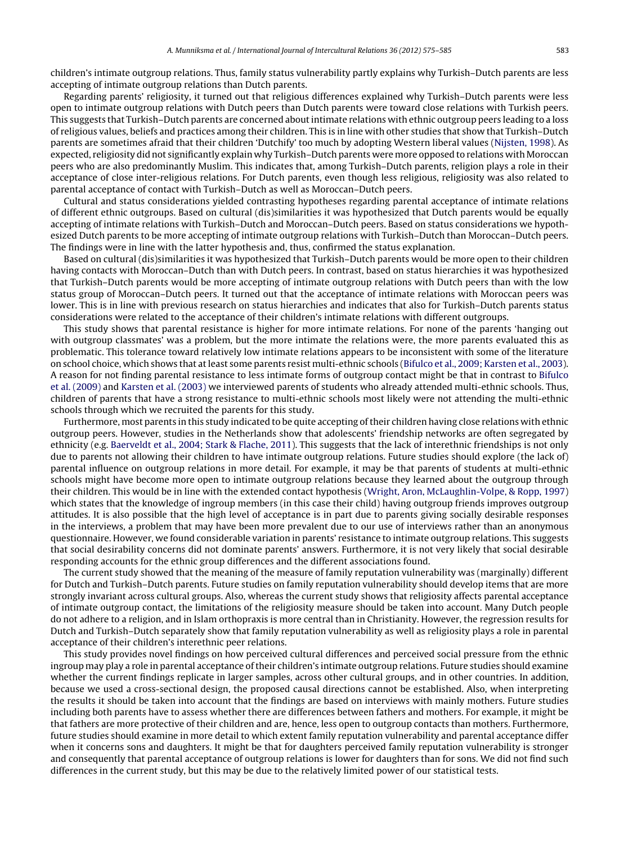children's intimate outgroup relations. Thus, family status vulnerability partly explains why Turkish–Dutch parents are less accepting of intimate outgroup relations than Dutch parents.

Regarding parents' religiosity, it turned out that religious differences explained why Turkish–Dutch parents were less open to intimate outgroup relations with Dutch peers than Dutch parents were toward close relations with Turkish peers. This suggests that Turkish–Dutch parents are concerned aboutintimate relations with ethnic outgroup peers leading to a loss of religious values, beliefs and practices among their children. This is in line with other studies that show that Turkish–Dutch parents are sometimes afraid that their children 'Dutchify' too much by adopting Western liberal values [\(Nijsten,](#page-10-0) [1998\).](#page-10-0) As expected, religiosity did not significantly explain why Turkish–Dutch parents were more opposed to relations with Moroccan peers who are also predominantly Muslim. This indicates that, among Turkish–Dutch parents, religion plays a role in their acceptance of close inter-religious relations. For Dutch parents, even though less religious, religiosity was also related to parental acceptance of contact with Turkish–Dutch as well as Moroccan–Dutch peers.

Cultural and status considerations yielded contrasting hypotheses regarding parental acceptance of intimate relations of different ethnic outgroups. Based on cultural (dis)similarities it was hypothesized that Dutch parents would be equally accepting of intimate relations with Turkish–Dutch and Moroccan–Dutch peers. Based on status considerations we hypothesized Dutch parents to be more accepting of intimate outgroup relations with Turkish–Dutch than Moroccan–Dutch peers. The findings were in line with the latter hypothesis and, thus, confirmed the status explanation.

Based on cultural (dis)similarities it was hypothesized that Turkish–Dutch parents would be more open to their children having contacts with Moroccan–Dutch than with Dutch peers. In contrast, based on status hierarchies it was hypothesized that Turkish–Dutch parents would be more accepting of intimate outgroup relations with Dutch peers than with the low status group of Moroccan–Dutch peers. It turned out that the acceptance of intimate relations with Moroccan peers was lower. This is in line with previous research on status hierarchies and indicates that also for Turkish–Dutch parents status considerations were related to the acceptance of their children's intimate relations with different outgroups.

This study shows that parental resistance is higher for more intimate relations. For none of the parents 'hanging out with outgroup classmates' was a problem, but the more intimate the relations were, the more parents evaluated this as problematic. This tolerance toward relatively low intimate relations appears to be inconsistent with some of the literature on school choice, which shows that atleast some parents resist multi-ethnic schools ([Bifulco](#page-9-0) et [al.,](#page-9-0) [2009;](#page-9-0) [Karsten](#page-9-0) et [al.,](#page-9-0) [2003\).](#page-9-0) A reason for not finding parental resistance to less intimate forms of outgroup contact might be that in contrast to [Bifulco](#page-9-0) et [al.](#page-9-0) [\(2009\)](#page-9-0) and [Karsten](#page-10-0) et [al.](#page-10-0) [\(2003\)](#page-10-0) we interviewed parents of students who already attended multi-ethnic schools. Thus, children of parents that have a strong resistance to multi-ethnic schools most likely were not attending the multi-ethnic schools through which we recruited the parents for this study.

Furthermore, most parents in this study indicated to be quite accepting of their children having close relations with ethnic outgroup peers. However, studies in the Netherlands show that adolescents' friendship networks are often segregated by ethnicity (e.g. [Baerveldt](#page-9-0) et [al.,](#page-9-0) [2004;](#page-9-0) [Stark](#page-9-0) [&](#page-9-0) [Flache,](#page-9-0) [2011\).](#page-9-0) This suggests that the lack of interethnic friendships is not only due to parents not allowing their children to have intimate outgroup relations. Future studies should explore (the lack of) parental influence on outgroup relations in more detail. For example, it may be that parents of students at multi-ethnic schools might have become more open to intimate outgroup relations because they learned about the outgroup through their children. This would be in line with the extended contact hypothesis [\(Wright,](#page-10-0) [Aron,](#page-10-0) [McLaughlin-Volpe,](#page-10-0) [&](#page-10-0) [Ropp,](#page-10-0) [1997\)](#page-10-0) which states that the knowledge of ingroup members (in this case their child) having outgroup friends improves outgroup attitudes. It is also possible that the high level of acceptance is in part due to parents giving socially desirable responses in the interviews, a problem that may have been more prevalent due to our use of interviews rather than an anonymous questionnaire. However, we found considerable variation in parents' resistance to intimate outgroup relations. This suggests that social desirability concerns did not dominate parents' answers. Furthermore, it is not very likely that social desirable responding accounts for the ethnic group differences and the different associations found.

The current study showed that the meaning of the measure of family reputation vulnerability was (marginally) different for Dutch and Turkish–Dutch parents. Future studies on family reputation vulnerability should develop items that are more strongly invariant across cultural groups. Also, whereas the current study shows that religiosity affects parental acceptance of intimate outgroup contact, the limitations of the religiosity measure should be taken into account. Many Dutch people do not adhere to a religion, and in Islam orthopraxis is more central than in Christianity. However, the regression results for Dutch and Turkish–Dutch separately show that family reputation vulnerability as well as religiosity plays a role in parental acceptance of their children's interethnic peer relations.

This study provides novel findings on how perceived cultural differences and perceived social pressure from the ethnic ingroup may play a role in parental acceptance oftheir children's intimate outgroup relations. Future studies should examine whether the current findings replicate in larger samples, across other cultural groups, and in other countries. In addition, because we used a cross-sectional design, the proposed causal directions cannot be established. Also, when interpreting the results it should be taken into account that the findings are based on interviews with mainly mothers. Future studies including both parents have to assess whether there are differences between fathers and mothers. For example, it might be that fathers are more protective of their children and are, hence, less open to outgroup contacts than mothers. Furthermore, future studies should examine in more detail to which extent family reputation vulnerability and parental acceptance differ when it concerns sons and daughters. It might be that for daughters perceived family reputation vulnerability is stronger and consequently that parental acceptance of outgroup relations is lower for daughters than for sons. We did not find such differences in the current study, but this may be due to the relatively limited power of our statistical tests.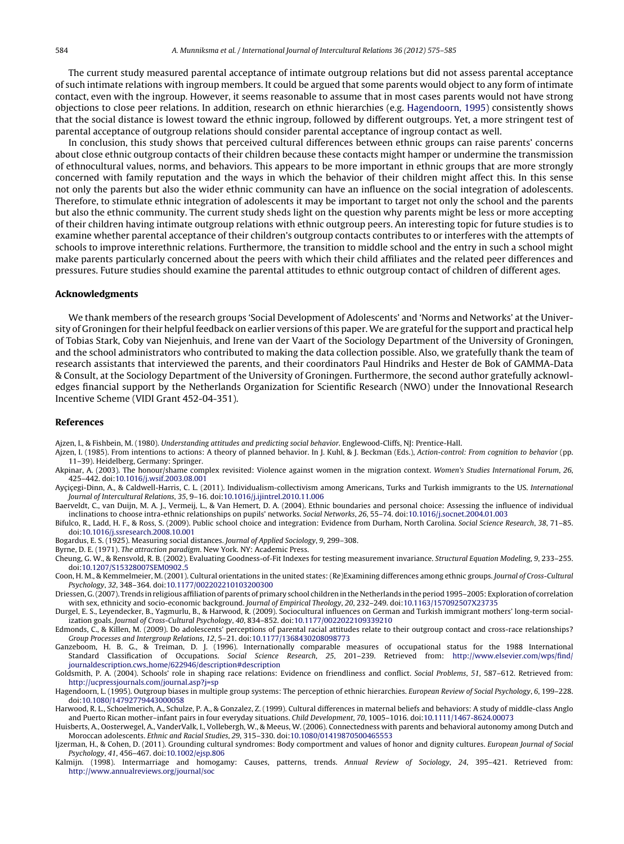<span id="page-9-0"></span>The current study measured parental acceptance of intimate outgroup relations but did not assess parental acceptance of such intimate relations with ingroup members. It could be argued that some parents would object to any form of intimate contact, even with the ingroup. However, it seems reasonable to assume that in most cases parents would not have strong objections to close peer relations. In addition, research on ethnic hierarchies (e.g. Hagendoorn, 1995) consistently shows that the social distance is lowest toward the ethnic ingroup, followed by different outgroups. Yet, a more stringent test of parental acceptance of outgroup relations should consider parental acceptance of ingroup contact as well.

In conclusion, this study shows that perceived cultural differences between ethnic groups can raise parents' concerns about close ethnic outgroup contacts of their children because these contacts might hamper or undermine the transmission of ethnocultural values, norms, and behaviors. This appears to be more important in ethnic groups that are more strongly concerned with family reputation and the ways in which the behavior of their children might affect this. In this sense not only the parents but also the wider ethnic community can have an influence on the social integration of adolescents. Therefore, to stimulate ethnic integration of adolescents it may be important to target not only the school and the parents but also the ethnic community. The current study sheds light on the question why parents might be less or more accepting of their children having intimate outgroup relations with ethnic outgroup peers. An interesting topic for future studies is to examine whether parental acceptance of their children's outgroup contacts contributes to or interferes with the attempts of schools to improve interethnic relations. Furthermore, the transition to middle school and the entry in such a school might make parents particularly concerned about the peers with which their child affiliates and the related peer differences and pressures. Future studies should examine the parental attitudes to ethnic outgroup contact of children of different ages.

## **Acknowledgments**

We thank members of the research groups 'Social Development of Adolescents' and 'Norms and Networks' at the University of Groningen for their helpful feedback on earlier versions ofthis paper.We are grateful for the support and practical help of Tobias Stark, Coby van Niejenhuis, and Irene van der Vaart of the Sociology Department of the University of Groningen, and the school administrators who contributed to making the data collection possible. Also, we gratefully thank the team of research assistants that interviewed the parents, and their coordinators Paul Hindriks and Hester de Bok of GAMMA-Data & Consult, at the Sociology Department of the University of Groningen. Furthermore, the second author gratefully acknowledges financial support by the Netherlands Organization for Scientific Research (NWO) under the Innovational Research Incentive Scheme (VIDI Grant 452-04-351).

# **References**

- Ajzen, I., & Fishbein, M. (1980). Understanding attitudes and predicting social behavior. Englewood-Cliffs, NJ: Prentice-Hall.
- Ajzen, I. (1985). From intentions to actions: A theory of planned behavior. In J. Kuhl, & J. Beckman (Eds.), Action-control: From cognition to behavior (pp. 11–39). Heidelberg, Germany: Springer.
- Akpinar, A. (2003). The honour/shame complex revisited: Violence against women in the migration context. Women's Studies International Forum, 26, 425–442. doi[:10.1016/j.wsif.2003.08.001](dx.doi.org/10.1016/j.wsif.2003.08.001)
- Aycicegi-Dinn, A., & Caldwell-Harris, C. L. (2011). Individualism-collectivism among Americans, Turks and Turkish immigrants to the US. International Journal of Intercultural Relations, 35, 9–16. doi:[10.1016/j.ijintrel.2010.11.006](dx.doi.org/10.1016/j.ijintrel.2010.11.006)
- Baerveldt, C., van Duijn, M. A. J., Vermeij, L., & Van Hemert, D. A. (2004). Ethnic boundaries and personal choice: Assessing the influence of individual inclinations to choose intra-ethnic relationships on pupils' networks. Social Networks, 26, 55–74. doi[:10.1016/j.socnet.2004.01.003](dx.doi.org/10.1016/j.socnet.2004.01.003)
- Bifulco, R., Ladd, H. F., & Ross, S. (2009). Public school choice and integration: Evidence from Durham, North Carolina. Social Science Research, 38, 71–85. doi[:10.1016/j.ssresearch.2008.10.001](dx.doi.org/10.1016/j.ssresearch.2008.10.001)
- Bogardus, E. S. (1925). Measuring social distances. Journal of Applied Sociology, 9, 299–308.
- Byrne, D. E. (1971). The attraction paradigm. New York. NY: Academic Press.
- Cheung, G. W., & Rensvold, R. B. (2002). Evaluating Goodness-of-Fit Indexes for testing measurement invariance. Structural Equation Modeling, 9, 233–255. doi[:10.1207/S15328007SEM0902](dx.doi.org/10.1207/S15328007SEM0902_5) 5
- Coon, H. M., & Kemmelmeier, M. (2001). Cultural orientations in the united states: (Re)Examining differences among ethnic groups. Journal of Cross-Cultural Psychology, 32, 348–364. doi[:10.1177/002202210103200300](dx.doi.org/10.1177/002202210103200300)
- Driessen, G.(2007). Trends inreligious affiliationof parents of primary school childreninthe Netherlands inthe period 1995–2005: Explorationof correlation with sex, ethnicity and socio-economic background. Journal of Empirical Theology, 20, 232–249. doi:[10.1163/157092507X23735](dx.doi.org/10.1163/157092507X23735)
- Durgel, E. S., Leyendecker, B., Yagmurlu, B., & Harwood, R. (2009). Sociocultural influences on German and Turkish immigrant mothers' long-term socialization goals. Journal of Cross-Cultural Psychology, 40, 834–852. doi[:10.1177/0022022109339210](dx.doi.org/10.1177/0022022109339210)
- Edmonds, C., & Killen, M. (2009). Do adolescents' perceptions of parental racial attitudes relate to their outgroup contact and cross-race relationships? Group Processes and Intergroup Relations, 12, 5–21. doi[:10.1177/1368430208098773](dx.doi.org/10.1177/1368430208098773)
- Ganzeboom, H. B. G., & Treiman, D. J. (1996). Internationally comparable measures of occupational status for the 1988 International Standard Classification of Occupations. Social Science Research, 25, 201–239. Retrieved from: [http://www.elsevier.com/wps/find/](http://www.elsevier.com/wps/find/journaldescription.cws_home/622946/description%23description) journaldescription.cws [home/622946/description#description](http://www.elsevier.com/wps/find/journaldescription.cws_home/622946/description%23description)
- Goldsmith, P. A. (2004). Schools' role in shaping race relations: Evidence on friendliness and conflict. Social Problems, 51, 587–612. Retrieved from: [http://ucpressjournals.com/journal.asp?j=sp](http://ucpressjournals.com/journal.asp%3Fj=sp)
- Hagendoorn, L. (1995). Outgroup biases in multiple group systems: The perception of ethnic hierarchies. European Review of Social Psychology, 6, 199–228. doi[:10.1080/14792779443000058](dx.doi.org/10.1080/14792779443000058)
- Harwood, R. L., Schoelmerich, A., Schulze, P. A., & Gonzalez, Z. (1999). Cultural differences in maternal beliefs and behaviors: A study of middle-class Anglo and Puerto Rican mother–infant pairs in four everyday situations. Child Development, 70, 1005–1016. doi:[10.1111/1467-8624.00073](dx.doi.org/10.1111/1467-8624.00073)
- Huisberts, A., Oosterwegel, A., VanderValk, I., Vollebergh, W., & Meeus, W. (2006). Connectedness with parents and behavioral autonomy among Dutch and Moroccan adolescents. Ethnic and Racial Studies, 29, 315–330. doi:[10.1080/01419870500465553](dx.doi.org/10.1080/01419870500465553)
- Ijzerman, H., & Cohen, D. (2011). Grounding cultural syndromes: Body comportment and values of honor and dignity cultures. European Journal of Social Psychology, 41, 456–467. doi[:10.1002/ejsp.806](dx.doi.org/10.1002/ejsp.806)
- Kalmijn. (1998). Intermarriage and homogamy: Causes, patterns, trends. Annual Review of Sociology, 24, 395–421. Retrieved from: <http://www.annualreviews.org/journal/soc>